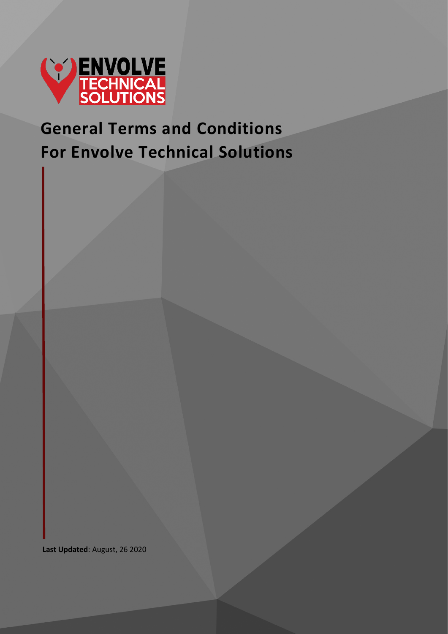

# **General Terms and Conditions For Envolve Technical Solutions**

**Last Updated**: August, 26 2020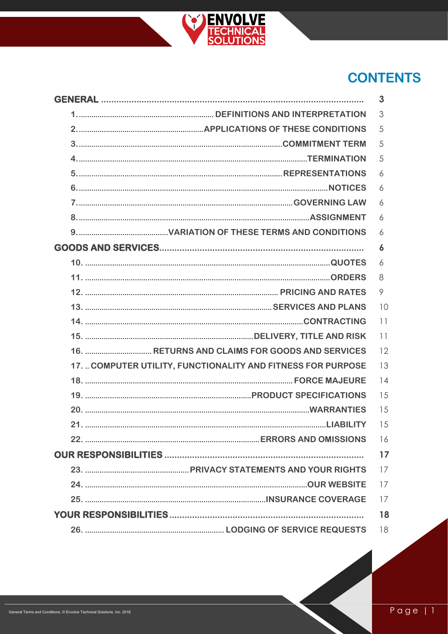

## **CONTENTS**

| <b>GENERAL</b>                                              | 3       |
|-------------------------------------------------------------|---------|
|                                                             | 3       |
|                                                             | 5       |
|                                                             | 5       |
|                                                             | 5       |
|                                                             | 6       |
|                                                             | 6       |
|                                                             | 6       |
|                                                             | 6       |
|                                                             | 6       |
|                                                             | 6       |
|                                                             | 6       |
|                                                             | 8       |
|                                                             | $\circ$ |
|                                                             | 10      |
|                                                             | 11      |
|                                                             | 11      |
|                                                             | 12      |
| 17. COMPUTER UTILITY, FUNCTIONALITY AND FITNESS FOR PURPOSE | 13      |
|                                                             | 14      |
|                                                             | 15      |
|                                                             | 15      |
|                                                             | 15      |
|                                                             | 16      |
|                                                             | 17      |
|                                                             | 17      |
|                                                             | 17      |
|                                                             | 17      |
|                                                             | 18      |
|                                                             | 18      |
|                                                             |         |

 $Page|1$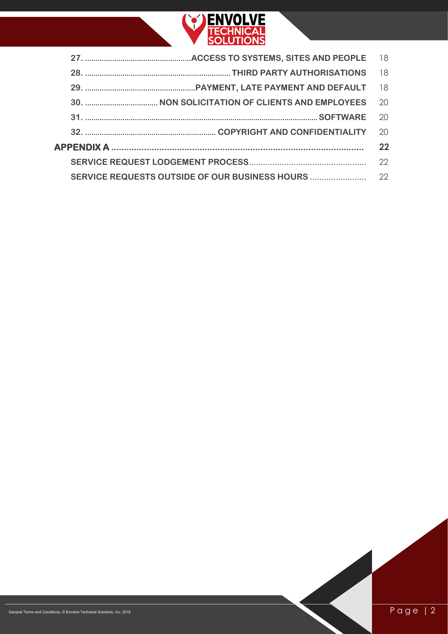

| 18 |
|----|
| 18 |
| 18 |
| 20 |
| 20 |
| 20 |
| 22 |
| 22 |
|    |
|    |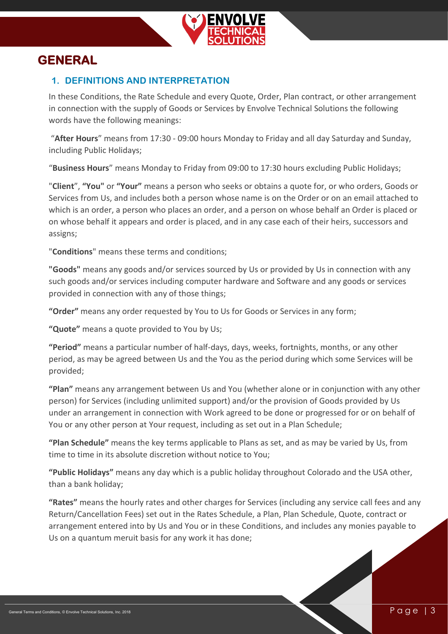

## <span id="page-3-1"></span><span id="page-3-0"></span>**GENERAL**

#### **1. DEFINITIONS AND INTERPRETATION**

In these Conditions, the Rate Schedule and every Quote, Order, Plan contract, or other arrangement in connection with the supply of Goods or Services by Envolve Technical Solutions the following words have the following meanings:

"**After Hours**" means from 17:30 - 09:00 hours Monday to Friday and all day Saturday and Sunday, including Public Holidays;

"**Business Hours**" means Monday to Friday from 09:00 to 17:30 hours excluding Public Holidays;

"**Client**", **"You"** or **"Your"** means a person who seeks or obtains a quote for, or who orders, Goods or Services from Us, and includes both a person whose name is on the Order or on an email attached to which is an order, a person who places an order, and a person on whose behalf an Order is placed or on whose behalf it appears and order is placed, and in any case each of their heirs, successors and assigns;

"**Conditions**" means these terms and conditions;

**"Goods"** means any goods and/or services sourced by Us or provided by Us in connection with any such goods and/or services including computer hardware and Software and any goods or services provided in connection with any of those things;

**"Order"** means any order requested by You to Us for Goods or Services in any form;

**"Quote"** means a quote provided to You by Us;

**"Period"** means a particular number of half-days, days, weeks, fortnights, months, or any other period, as may be agreed between Us and the You as the period during which some Services will be provided;

**"Plan"** means any arrangement between Us and You (whether alone or in conjunction with any other person) for Services (including unlimited support) and/or the provision of Goods provided by Us under an arrangement in connection with Work agreed to be done or progressed for or on behalf of You or any other person at Your request, including as set out in a Plan Schedule;

**"Plan Schedule"** means the key terms applicable to Plans as set, and as may be varied by Us, from time to time in its absolute discretion without notice to You;

**"Public Holidays"** means any day which is a public holiday throughout Colorado and the USA other, than a bank holiday;

**"Rates"** means the hourly rates and other charges for Services (including any service call fees and any Return/Cancellation Fees) set out in the Rates Schedule, a Plan, Plan Schedule, Quote, contract or arrangement entered into by Us and You or in these Conditions, and includes any monies payable to Us on a quantum meruit basis for any work it has done;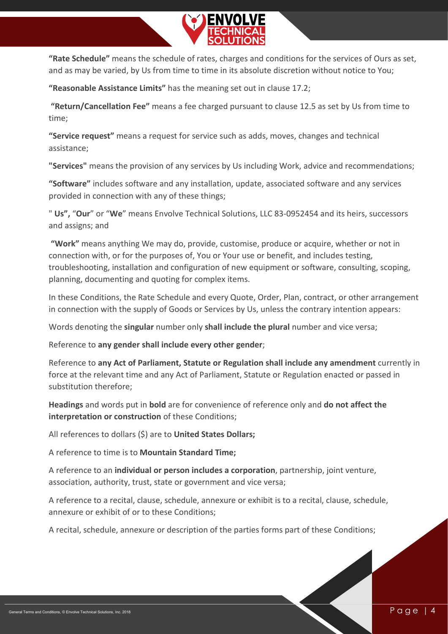

**"Rate Schedule"** means the schedule of rates, charges and conditions for the services of Ours as set, and as may be varied, by Us from time to time in its absolute discretion without notice to You;

**"Reasonable Assistance Limits"** has the meaning set out in clause [17.2;](#page-13-1)

**"Return/Cancellation Fee"** means a fee charged pursuant to clause [12.5](#page-9-1) as set by Us from time to time;

**"Service request"** means a request for service such as adds, moves, changes and technical assistance;

**"Services"** means the provision of any services by Us including Work, advice and recommendations;

**"Software"** includes software and any installation, update, associated software and any services provided in connection with any of these things;

" **Us",** "**Our**" or "**We**" means Envolve Technical Solutions, LLC 83-0952454 and its heirs, successors and assigns; and

**"Work"** means anything We may do, provide, customise, produce or acquire, whether or not in connection with, or for the purposes of, You or Your use or benefit, and includes testing, troubleshooting, installation and configuration of new equipment or software, consulting, scoping, planning, documenting and quoting for complex items.

In these Conditions, the Rate Schedule and every Quote, Order, Plan, contract, or other arrangement in connection with the supply of Goods or Services by Us, unless the contrary intention appears:

Words denoting the **singular** number only **shall include the plural** number and vice versa;

Reference to **any gender shall include every other gender**;

Reference to **any Act of Parliament, Statute or Regulation shall include any amendment** currently in force at the relevant time and any Act of Parliament, Statute or Regulation enacted or passed in substitution therefore;

**Headings** and words put in **bold** are for convenience of reference only and **do not affect the interpretation or construction** of these Conditions;

All references to dollars (\$) are to **United States Dollars;**

A reference to time is to **Mountain Standard Time;**

A reference to an **individual or person includes a corporation**, partnership, joint venture, association, authority, trust, state or government and vice versa;

A reference to a recital, clause, schedule, annexure or exhibit is to a recital, clause, schedule, annexure or exhibit of or to these Conditions;

A recital, schedule, annexure or description of the parties forms part of these Conditions;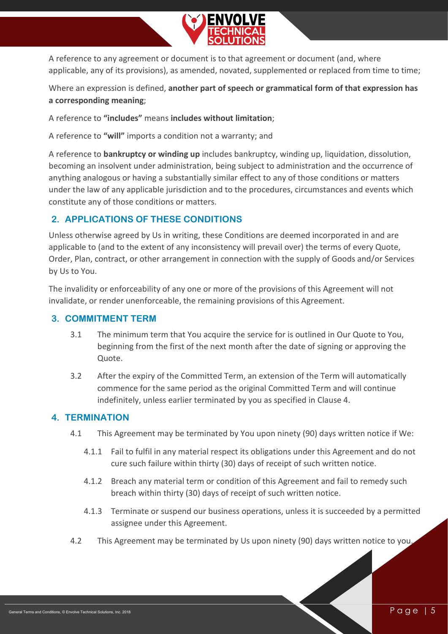

A reference to any agreement or document is to that agreement or document (and, where applicable, any of its provisions), as amended, novated, supplemented or replaced from time to time;

Where an expression is defined, **another part of speech or grammatical form of that expression has a corresponding meaning**;

A reference to **"includes"** means **includes without limitation**;

A reference to **"will"** imports a condition not a warranty; and

A reference to **bankruptcy or winding up** includes bankruptcy, winding up, liquidation, dissolution, becoming an insolvent under administration, being subject to administration and the occurrence of anything analogous or having a substantially similar effect to any of those conditions or matters under the law of any applicable jurisdiction and to the procedures, circumstances and events which constitute any of those conditions or matters.

#### <span id="page-5-0"></span>**2. APPLICATIONS OF THESE CONDITIONS**

Unless otherwise agreed by Us in writing, these Conditions are deemed incorporated in and are applicable to (and to the extent of any inconsistency will prevail over) the terms of every Quote, Order, Plan, contract, or other arrangement in connection with the supply of Goods and/or Services by Us to You.

The invalidity or enforceability of any one or more of the provisions of this Agreement will not invalidate, or render unenforceable, the remaining provisions of this Agreement.

#### <span id="page-5-1"></span>**3. COMMITMENT TERM**

- 3.1 The minimum term that You acquire the service for is outlined in Our Quote to You, beginning from the first of the next month after the date of signing or approving the Quote.
- 3.2 After the expiry of the Committed Term, an extension of the Term will automatically commence for the same period as the original Committed Term and will continue indefinitely, unless earlier terminated by you as specified in Clause 4.

#### <span id="page-5-2"></span>**4. TERMINATION**

- 4.1 This Agreement may be terminated by You upon ninety (90) days written notice if We:
	- 4.1.1 Fail to fulfil in any material respect its obligations under this Agreement and do not cure such failure within thirty (30) days of receipt of such written notice.
	- 4.1.2 Breach any material term or condition of this Agreement and fail to remedy such breach within thirty (30) days of receipt of such written notice.
	- 4.1.3 Terminate or suspend our business operations, unless it is succeeded by a permitted assignee under this Agreement.
- 4.2 This Agreement may be terminated by Us upon ninety (90) days written notice to you.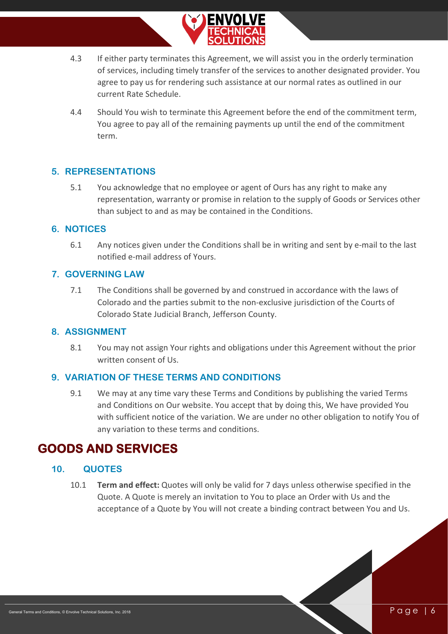

- 4.3 If either party terminates this Agreement, we will assist you in the orderly termination of services, including timely transfer of the services to another designated provider. You agree to pay us for rendering such assistance at our normal rates as outlined in our current Rate Schedule.
- 4.4 Should You wish to terminate this Agreement before the end of the commitment term, You agree to pay all of the remaining payments up until the end of the commitment term.

#### <span id="page-6-0"></span>**5. REPRESENTATIONS**

5.1 You acknowledge that no employee or agent of Ours has any right to make any representation, warranty or promise in relation to the supply of Goods or Services other than subject to and as may be contained in the Conditions.

#### <span id="page-6-1"></span>**6. NOTICES**

6.1 Any notices given under the Conditions shall be in writing and sent by e-mail to the last notified e-mail address of Yours.

#### <span id="page-6-2"></span>**7. GOVERNING LAW**

7.1 The Conditions shall be governed by and construed in accordance with the laws of Colorado and the parties submit to the non-exclusive jurisdiction of the Courts of Colorado State Judicial Branch, Jefferson County.

#### <span id="page-6-3"></span>**8. ASSIGNMENT**

8.1 You may not assign Your rights and obligations under this Agreement without the prior written consent of Us.

#### <span id="page-6-4"></span>**9. VARIATION OF THESE TERMS AND CONDITIONS**

9.1 We may at any time vary these Terms and Conditions by publishing the varied Terms and Conditions on Our website. You accept that by doing this, We have provided You with sufficient notice of the variation. We are under no other obligation to notify You of any variation to these terms and conditions.

### <span id="page-6-5"></span>**GOODS AND SERVICES**

#### **10. QUOTES**

<span id="page-6-6"></span>10.1 **Term and effect:** Quotes will only be valid for 7 days unless otherwise specified in the Quote. A Quote is merely an invitation to You to place an Order with Us and the acceptance of a Quote by You will not create a binding contract between You and Us.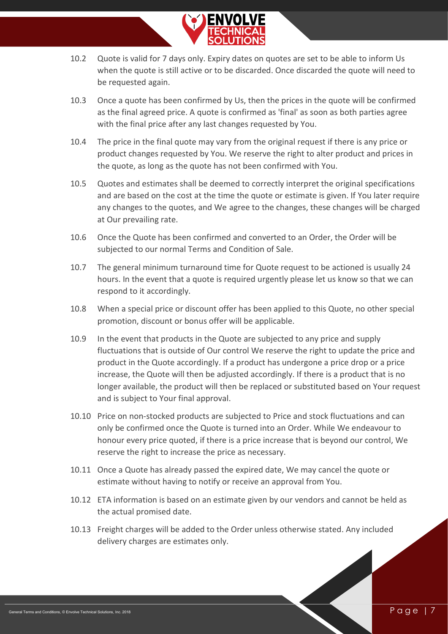

- 10.2 Quote is valid for 7 days only. Expiry dates on quotes are set to be able to inform Us when the quote is still active or to be discarded. Once discarded the quote will need to be requested again.
- 10.3 Once a quote has been confirmed by Us, then the prices in the quote will be confirmed as the final agreed price. A quote is confirmed as 'final' as soon as both parties agree with the final price after any last changes requested by You.
- 10.4 The price in the final quote may vary from the original request if there is any price or product changes requested by You. We reserve the right to alter product and prices in the quote, as long as the quote has not been confirmed with You.
- 10.5 Quotes and estimates shall be deemed to correctly interpret the original specifications and are based on the cost at the time the quote or estimate is given. If You later require any changes to the quotes, and We agree to the changes, these changes will be charged at Our prevailing rate.
- 10.6 Once the Quote has been confirmed and converted to an Order, the Order will be subjected to our normal Terms and Condition of Sale.
- 10.7 The general minimum turnaround time for Quote request to be actioned is usually 24 hours. In the event that a quote is required urgently please let us know so that we can respond to it accordingly.
- 10.8 When a special price or discount offer has been applied to this Quote, no other special promotion, discount or bonus offer will be applicable.
- 10.9 In the event that products in the Quote are subjected to any price and supply fluctuations that is outside of Our control We reserve the right to update the price and product in the Quote accordingly. If a product has undergone a price drop or a price increase, the Quote will then be adjusted accordingly. If there is a product that is no longer available, the product will then be replaced or substituted based on Your request and is subject to Your final approval.
- 10.10 Price on non-stocked products are subjected to Price and stock fluctuations and can only be confirmed once the Quote is turned into an Order. While We endeavour to honour every price quoted, if there is a price increase that is beyond our control, We reserve the right to increase the price as necessary.
- 10.11 Once a Quote has already passed the expired date, We may cancel the quote or estimate without having to notify or receive an approval from You.
- 10.12 ETA information is based on an estimate given by our vendors and cannot be held as the actual promised date.
- 10.13 Freight charges will be added to the Order unless otherwise stated. Any included delivery charges are estimates only.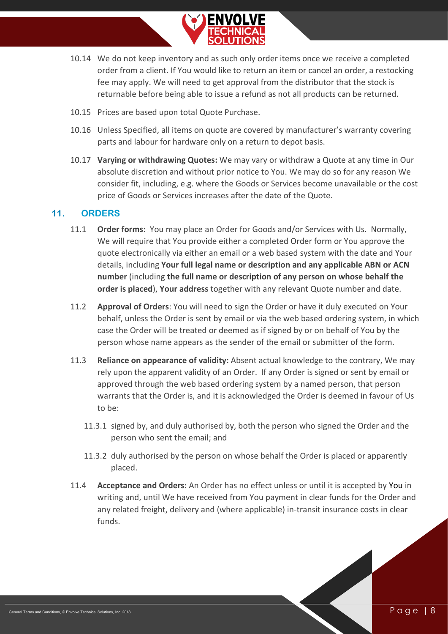

- 10.14 We do not keep inventory and as such only order items once we receive a completed order from a client. If You would like to return an item or cancel an order, a restocking fee may apply. We will need to get approval from the distributor that the stock is returnable before being able to issue a refund as not all products can be returned.
- 10.15 Prices are based upon total Quote Purchase.
- 10.16 Unless Specified, all items on quote are covered by manufacturer's warranty covering parts and labour for hardware only on a return to depot basis.
- 10.17 **Varying or withdrawing Quotes:** We may vary or withdraw a Quote at any time in Our absolute discretion and without prior notice to You. We may do so for any reason We consider fit, including, e.g. where the Goods or Services become unavailable or the cost price of Goods or Services increases after the date of the Quote.

#### <span id="page-8-0"></span>**11. ORDERS**

- 11.1 **Order forms:** You may place an Order for Goods and/or Services with Us. Normally, We will require that You provide either a completed Order form or You approve the quote electronically via either an email or a web based system with the date and Your details, including **Your full legal name or description and any applicable ABN or ACN number** (including **the full name or description of any person on whose behalf the order is placed**), **Your address** together with any relevant Quote number and date.
- 11.2 **Approval of Orders**: You will need to sign the Order or have it duly executed on Your behalf, unless the Order is sent by email or via the web based ordering system, in which case the Order will be treated or deemed as if signed by or on behalf of You by the person whose name appears as the sender of the email or submitter of the form.
- 11.3 **Reliance on appearance of validity:** Absent actual knowledge to the contrary, We may rely upon the apparent validity of an Order. If any Order is signed or sent by email or approved through the web based ordering system by a named person, that person warrants that the Order is, and it is acknowledged the Order is deemed in favour of Us to be:
	- 11.3.1 signed by, and duly authorised by, both the person who signed the Order and the person who sent the email; and
	- 11.3.2 duly authorised by the person on whose behalf the Order is placed or apparently placed.
- 11.4 **Acceptance and Orders:** An Order has no effect unless or until it is accepted by You in writing and, until We have received from You payment in clear funds for the Order and any related freight, delivery and (where applicable) in-transit insurance costs in clear funds.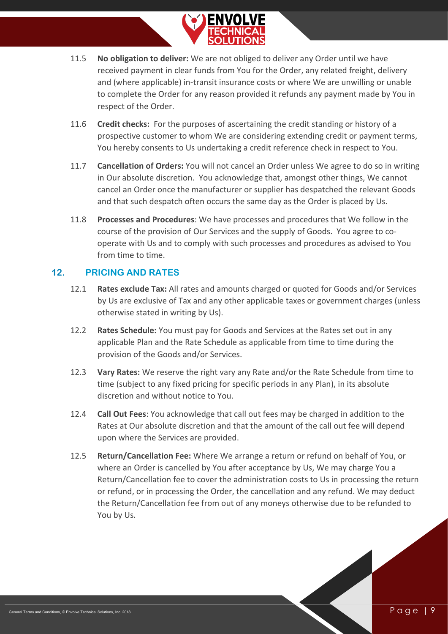

- 11.5 **No obligation to deliver:** We are not obliged to deliver any Order until we have received payment in clear funds from You for the Order, any related freight, delivery and (where applicable) in-transit insurance costs or where We are unwilling or unable to complete the Order for any reason provided it refunds any payment made by You in respect of the Order.
- 11.6 **Credit checks:** For the purposes of ascertaining the credit standing or history of a prospective customer to whom We are considering extending credit or payment terms, You hereby consents to Us undertaking a credit reference check in respect to You.
- 11.7 **Cancellation of Orders:** You will not cancel an Order unless We agree to do so in writing in Our absolute discretion. You acknowledge that, amongst other things, We cannot cancel an Order once the manufacturer or supplier has despatched the relevant Goods and that such despatch often occurs the same day as the Order is placed by Us.
- 11.8 **Processes and Procedures**: We have processes and procedures that We follow in the course of the provision of Our Services and the supply of Goods. You agree to cooperate with Us and to comply with such processes and procedures as advised to You from time to time.

#### **12. PRICING AND RATES**

- <span id="page-9-0"></span>12.1 **Rates exclude Tax:** All rates and amounts charged or quoted for Goods and/or Services by Us are exclusive of Tax and any other applicable taxes or government charges (unless otherwise stated in writing by Us).
- 12.2 **Rates Schedule:** You must pay for Goods and Services at the Rates set out in any applicable Plan and the Rate Schedule as applicable from time to time during the provision of the Goods and/or Services.
- 12.3 **Vary Rates:** We reserve the right vary any Rate and/or the Rate Schedule from time to time (subject to any fixed pricing for specific periods in any Plan), in its absolute discretion and without notice to You.
- 12.4 **Call Out Fees**: You acknowledge that call out fees may be charged in addition to the Rates at Our absolute discretion and that the amount of the call out fee will depend upon where the Services are provided.
- <span id="page-9-1"></span>12.5 **Return/Cancellation Fee:** Where We arrange a return or refund on behalf of You, or where an Order is cancelled by You after acceptance by Us, We may charge You a Return/Cancellation fee to cover the administration costs to Us in processing the return or refund, or in processing the Order, the cancellation and any refund. We may deduct the Return/Cancellation fee from out of any moneys otherwise due to be refunded to You by Us.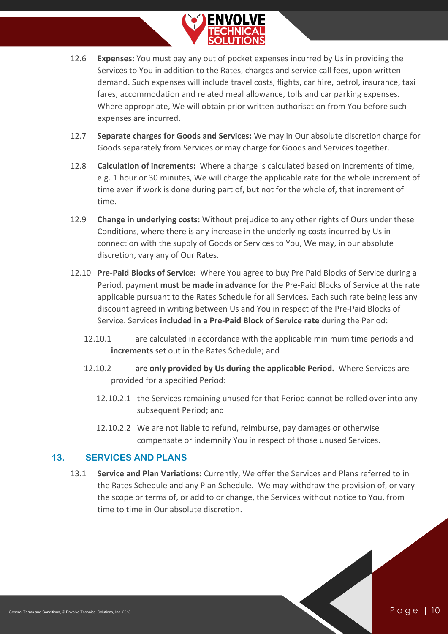

- 12.6 **Expenses:** You must pay any out of pocket expenses incurred by Us in providing the Services to You in addition to the Rates, charges and service call fees, upon written demand. Such expenses will include travel costs, flights, car hire, petrol, insurance, taxi fares, accommodation and related meal allowance, tolls and car parking expenses. Where appropriate, We will obtain prior written authorisation from You before such expenses are incurred.
- 12.7 **Separate charges for Goods and Services:** We may in Our absolute discretion charge for Goods separately from Services or may charge for Goods and Services together.
- 12.8 **Calculation of increments:** Where a charge is calculated based on increments of time, e.g. 1 hour or 30 minutes, We will charge the applicable rate for the whole increment of time even if work is done during part of, but not for the whole of, that increment of time.
- 12.9 **Change in underlying costs:** Without prejudice to any other rights of Ours under these Conditions, where there is any increase in the underlying costs incurred by Us in connection with the supply of Goods or Services to You, We may, in our absolute discretion, vary any of Our Rates.
- 12.10 **Pre-Paid Blocks of Service:** Where You agree to buy Pre Paid Blocks of Service during a Period, payment **must be made in advance** for the Pre-Paid Blocks of Service at the rate applicable pursuant to the Rates Schedule for all Services. Each such rate being less any discount agreed in writing between Us and You in respect of the Pre-Paid Blocks of Service. Services **included in a Pre-Paid Block of Service rate** during the Period:
	- 12.10.1 are calculated in accordance with the applicable minimum time periods and **increments** set out in the Rates Schedule; and
	- 12.10.2 **are only provided by Us during the applicable Period.** Where Services are provided for a specified Period:
		- 12.10.2.1 the Services remaining unused for that Period cannot be rolled over into any subsequent Period; and
		- 12.10.2.2 We are not liable to refund, reimburse, pay damages or otherwise compensate or indemnify You in respect of those unused Services.

#### **13. SERVICES AND PLANS**

<span id="page-10-0"></span>13.1 **Service and Plan Variations:** Currently, We offer the Services and Plans referred to in the Rates Schedule and any Plan Schedule. We may withdraw the provision of, or vary the scope or terms of, or add to or change, the Services without notice to You, from time to time in Our absolute discretion.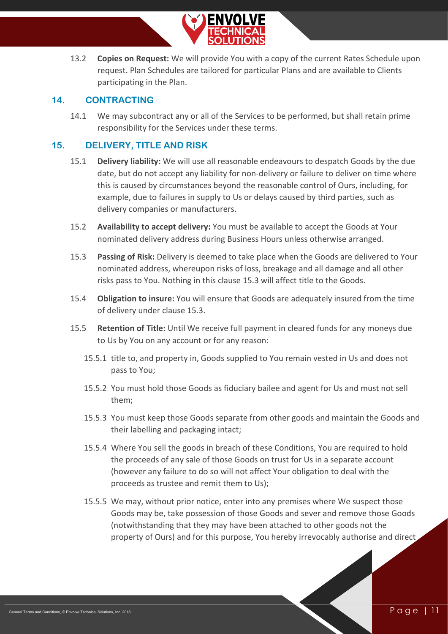

13.2 **Copies on Request:** We will provide You with a copy of the current Rates Schedule upon request. Plan Schedules are tailored for particular Plans and are available to Clients participating in the Plan.

#### **14. CONTRACTING**

<span id="page-11-0"></span>14.1 We may subcontract any or all of the Services to be performed, but shall retain prime responsibility for the Services under these terms.

#### **15. DELIVERY, TITLE AND RISK**

- <span id="page-11-1"></span>15.1 **Delivery liability:** We will use all reasonable endeavours to despatch Goods by the due date, but do not accept any liability for non-delivery or failure to deliver on time where this is caused by circumstances beyond the reasonable control of Ours, including, for example, due to failures in supply to Us or delays caused by third parties, such as delivery companies or manufacturers.
- 15.2 **Availability to accept delivery:** You must be available to accept the Goods at Your nominated delivery address during Business Hours unless otherwise arranged.
- 15.3 **Passing of Risk:** Delivery is deemed to take place when the Goods are delivered to Your nominated address, whereupon risks of loss, breakage and all damage and all other risks pass to You. Nothing in this clause 15.3 will affect title to the Goods.
- 15.4 **Obligation to insure:** You will ensure that Goods are adequately insured from the time of delivery under clause 15.3.
- 15.5 **Retention of Title:** Until We receive full payment in cleared funds for any moneys due to Us by You on any account or for any reason:
	- 15.5.1 title to, and property in, Goods supplied to You remain vested in Us and does not pass to You;
	- 15.5.2 You must hold those Goods as fiduciary bailee and agent for Us and must not sell them;
	- 15.5.3 You must keep those Goods separate from other goods and maintain the Goods and their labelling and packaging intact;
	- 15.5.4 Where You sell the goods in breach of these Conditions, You are required to hold the proceeds of any sale of those Goods on trust for Us in a separate account (however any failure to do so will not affect Your obligation to deal with the proceeds as trustee and remit them to Us);
	- 15.5.5 We may, without prior notice, enter into any premises where We suspect those Goods may be, take possession of those Goods and sever and remove those Goods (notwithstanding that they may have been attached to other goods not the property of Ours) and for this purpose, You hereby irrevocably authorise and direct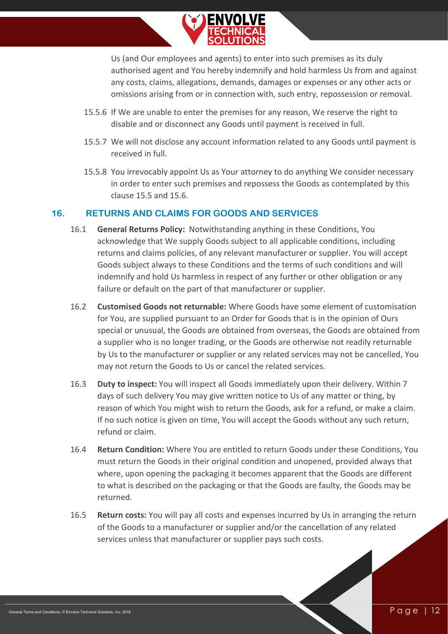

Us (and Our employees and agents) to enter into such premises as its duly authorised agent and You hereby indemnify and hold harmless Us from and against any costs, claims, allegations, demands, damages or expenses or any other acts or omissions arising from or in connection with, such entry, repossession or removal.

- 15.5.6 If We are unable to enter the premises for any reason, We reserve the right to disable and or disconnect any Goods until payment is received in full.
- 15.5.7 We will not disclose any account information related to any Goods until payment is received in full.
- 15.5.8 You irrevocably appoint Us as Your attorney to do anything We consider necessary in order to enter such premises and repossess the Goods as contemplated by this clause 15.5 and 15.6.

#### **16. RETURNS AND CLAIMS FOR GOODS AND SERVICES**

- <span id="page-12-0"></span>16.1 **General Returns Policy:** Notwithstanding anything in these Conditions, You acknowledge that We supply Goods subject to all applicable conditions, including returns and claims policies, of any relevant manufacturer or supplier. You will accept Goods subject always to these Conditions and the terms of such conditions and will indemnify and hold Us harmless in respect of any further or other obligation or any failure or default on the part of that manufacturer or supplier.
- 16.2 **Customised Goods not returnable:** Where Goods have some element of customisation for You, are supplied pursuant to an Order for Goods that is in the opinion of Ours special or unusual, the Goods are obtained from overseas, the Goods are obtained from a supplier who is no longer trading, or the Goods are otherwise not readily returnable by Us to the manufacturer or supplier or any related services may not be cancelled, You may not return the Goods to Us or cancel the related services.
- 16.3 **Duty to inspect:** You will inspect all Goods immediately upon their delivery. Within 7 days of such delivery You may give written notice to Us of any matter or thing, by reason of which You might wish to return the Goods, ask for a refund, or make a claim. If no such notice is given on time, You will accept the Goods without any such return, refund or claim.
- 16.4 **Return Condition:** Where You are entitled to return Goods under these Conditions, You must return the Goods in their original condition and unopened, provided always that where, upon opening the packaging it becomes apparent that the Goods are different to what is described on the packaging or that the Goods are faulty, the Goods may be returned.
- 16.5 **Return costs:** You will pay all costs and expenses incurred by Us in arranging the return of the Goods to a manufacturer or supplier and/or the cancellation of any related services unless that manufacturer or supplier pays such costs.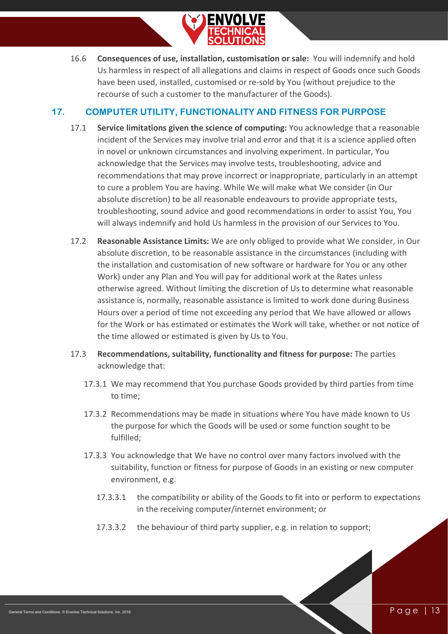

16.6 **Consequences of use, installation, customisation or sale:** You will indemnify and hold Us harmless in respect of all allegations and claims in respect of Goods once such Goods have been used, installed, customised or re-sold by You (without prejudice to the recourse of such a customer to the manufacturer of the Goods).

#### **17. COMPUTER UTILITY, FUNCTIONALITY AND FITNESS FOR PURPOSE**

- <span id="page-13-0"></span>17.1 **Service limitations given the science of computing:** You acknowledge that a reasonable incident of the Services may involve trial and error and that it is a science applied often in novel or unknown circumstances and involving experiment. In particular, You acknowledge that the Services may involve tests, troubleshooting, advice and recommendations that may prove incorrect or inappropriate, particularly in an attempt to cure a problem You are having. While We will make what We consider (in Our absolute discretion) to be all reasonable endeavours to provide appropriate tests, troubleshooting, sound advice and good recommendations in order to assist You, You will always indemnify and hold Us harmless in the provision of our Services to You.
- <span id="page-13-1"></span>17.2 **Reasonable Assistance Limits:** We are only obliged to provide what We consider, in Our absolute discretion, to be reasonable assistance in the circumstances (including with the installation and customisation of new software or hardware for You or any other Work) under any Plan and You will pay for additional work at the Rates unless otherwise agreed. Without limiting the discretion of Us to determine what reasonable assistance is, normally, reasonable assistance is limited to work done during Business Hours over a period of time not exceeding any period that We have allowed or allows for the Work or has estimated or estimates the Work will take, whether or not notice of the time allowed or estimated is given by Us to You.
- 17.3 **Recommendations, suitability, functionality and fitness for purpose:** The parties acknowledge that:
	- 17.3.1 We may recommend that You purchase Goods provided by third parties from time to time;
	- 17.3.2 Recommendations may be made in situations where You have made known to Us the purpose for which the Goods will be used or some function sought to be fulfilled;
	- 17.3.3 You acknowledge that We have no control over many factors involved with the suitability, function or fitness for purpose of Goods in an existing or new computer environment, e.g.
		- 17.3.3.1 the compatibility or ability of the Goods to fit into or perform to expectations in the receiving computer/internet environment; or
		- 17.3.3.2 the behaviour of third party supplier, e.g. in relation to support;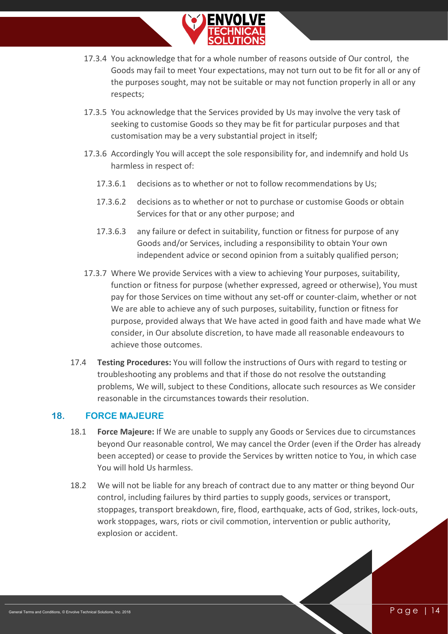

- 17.3.4 You acknowledge that for a whole number of reasons outside of Our control, the Goods may fail to meet Your expectations, may not turn out to be fit for all or any of the purposes sought, may not be suitable or may not function properly in all or any respects;
- 17.3.5 You acknowledge that the Services provided by Us may involve the very task of seeking to customise Goods so they may be fit for particular purposes and that customisation may be a very substantial project in itself;
- 17.3.6 Accordingly You will accept the sole responsibility for, and indemnify and hold Us harmless in respect of:
	- 17.3.6.1 decisions as to whether or not to follow recommendations by Us;
	- 17.3.6.2 decisions as to whether or not to purchase or customise Goods or obtain Services for that or any other purpose; and
	- 17.3.6.3 any failure or defect in suitability, function or fitness for purpose of any Goods and/or Services, including a responsibility to obtain Your own independent advice or second opinion from a suitably qualified person;
- 17.3.7 Where We provide Services with a view to achieving Your purposes, suitability, function or fitness for purpose (whether expressed, agreed or otherwise), You must pay for those Services on time without any set-off or counter-claim, whether or not We are able to achieve any of such purposes, suitability, function or fitness for purpose, provided always that We have acted in good faith and have made what We consider, in Our absolute discretion, to have made all reasonable endeavours to achieve those outcomes.
- 17.4 **Testing Procedures:** You will follow the instructions of Ours with regard to testing or troubleshooting any problems and that if those do not resolve the outstanding problems, We will, subject to these Conditions, allocate such resources as We consider reasonable in the circumstances towards their resolution.

#### **18. FORCE MAJEURE**

- <span id="page-14-0"></span>18.1 **Force Majeure:** If We are unable to supply any Goods or Services due to circumstances beyond Our reasonable control, We may cancel the Order (even if the Order has already been accepted) or cease to provide the Services by written notice to You, in which case You will hold Us harmless.
- 18.2 We will not be liable for any breach of contract due to any matter or thing beyond Our control, including failures by third parties to supply goods, services or transport, stoppages, transport breakdown, fire, flood, earthquake, acts of God, strikes, lock-outs, work stoppages, wars, riots or civil commotion, intervention or public authority, explosion or accident.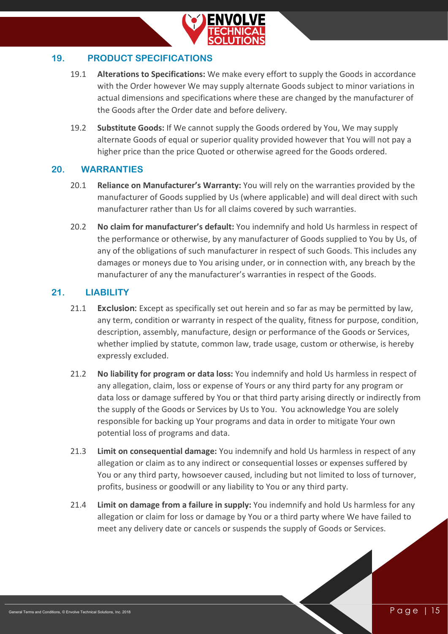

#### **19. PRODUCT SPECIFICATIONS**

- <span id="page-15-0"></span>19.1 **Alterations to Specifications:** We make every effort to supply the Goods in accordance with the Order however We may supply alternate Goods subject to minor variations in actual dimensions and specifications where these are changed by the manufacturer of the Goods after the Order date and before delivery.
- 19.2 **Substitute Goods:** If We cannot supply the Goods ordered by You, We may supply alternate Goods of equal or superior quality provided however that You will not pay a higher price than the price Quoted or otherwise agreed for the Goods ordered.

#### <span id="page-15-1"></span>**20. WARRANTIES**

- 20.1 **Reliance on Manufacturer's Warranty:** You will rely on the warranties provided by the manufacturer of Goods supplied by Us (where applicable) and will deal direct with such manufacturer rather than Us for all claims covered by such warranties.
- 20.2 **No claim for manufacturer's default:** You indemnify and hold Us harmless in respect of the performance or otherwise, by any manufacturer of Goods supplied to You by Us, of any of the obligations of such manufacturer in respect of such Goods. This includes any damages or moneys due to You arising under, or in connection with, any breach by the manufacturer of any the manufacturer's warranties in respect of the Goods.

#### **21. LIABILITY**

- <span id="page-15-2"></span>21.1 **Exclusion:** Except as specifically set out herein and so far as may be permitted by law, any term, condition or warranty in respect of the quality, fitness for purpose, condition, description, assembly, manufacture, design or performance of the Goods or Services, whether implied by statute, common law, trade usage, custom or otherwise, is hereby expressly excluded.
- 21.2 **No liability for program or data loss:** You indemnify and hold Us harmless in respect of any allegation, claim, loss or expense of Yours or any third party for any program or data loss or damage suffered by You or that third party arising directly or indirectly from the supply of the Goods or Services by Us to You. You acknowledge You are solely responsible for backing up Your programs and data in order to mitigate Your own potential loss of programs and data.
- 21.3 **Limit on consequential damage:** You indemnify and hold Us harmless in respect of any allegation or claim as to any indirect or consequential losses or expenses suffered by You or any third party, howsoever caused, including but not limited to loss of turnover, profits, business or goodwill or any liability to You or any third party.
- 21.4 **Limit on damage from a failure in supply:** You indemnify and hold Us harmless for any allegation or claim for loss or damage by You or a third party where We have failed to meet any delivery date or cancels or suspends the supply of Goods or Services.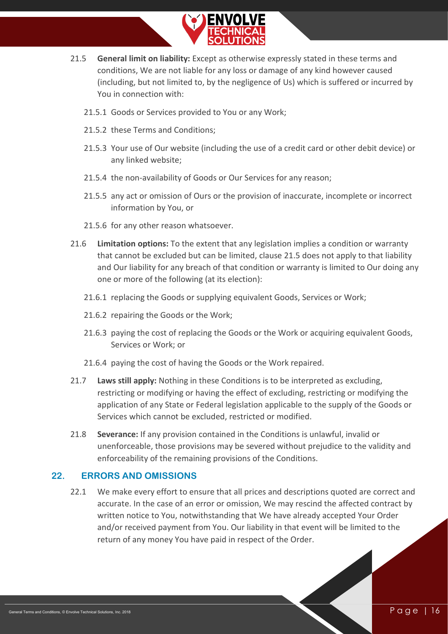

- <span id="page-16-1"></span>21.5 **General limit on liability:** Except as otherwise expressly stated in these terms and conditions, We are not liable for any loss or damage of any kind however caused (including, but not limited to, by the negligence of Us) which is suffered or incurred by You in connection with:
	- 21.5.1 Goods or Services provided to You or any Work;
	- 21.5.2 these Terms and Conditions;
	- 21.5.3 Your use of Our website (including the use of a credit card or other debit device) or any linked website;
	- 21.5.4 the non-availability of Goods or Our Services for any reason;
	- 21.5.5 any act or omission of Ours or the provision of inaccurate, incomplete or incorrect information by You, or
	- 21.5.6 for any other reason whatsoever.
- 21.6 **Limitation options:** To the extent that any legislation implies a condition or warranty that cannot be excluded but can be limited, clause [21.5](#page-16-1) does not apply to that liability and Our liability for any breach of that condition or warranty is limited to Our doing any one or more of the following (at its election):
	- 21.6.1 replacing the Goods or supplying equivalent Goods, Services or Work;
	- 21.6.2 repairing the Goods or the Work;
	- 21.6.3 paying the cost of replacing the Goods or the Work or acquiring equivalent Goods, Services or Work; or
	- 21.6.4 paying the cost of having the Goods or the Work repaired.
- 21.7 **Laws still apply:** Nothing in these Conditions is to be interpreted as excluding, restricting or modifying or having the effect of excluding, restricting or modifying the application of any State or Federal legislation applicable to the supply of the Goods or Services which cannot be excluded, restricted or modified.
- 21.8 **Severance:** If any provision contained in the Conditions is unlawful, invalid or unenforceable, those provisions may be severed without prejudice to the validity and enforceability of the remaining provisions of the Conditions.

#### <span id="page-16-0"></span>**22. ERRORS AND OMISSIONS**

22.1 We make every effort to ensure that all prices and descriptions quoted are correct and accurate. In the case of an error or omission, We may rescind the affected contract by written notice to You, notwithstanding that We have already accepted Your Order and/or received payment from You. Our liability in that event will be limited to the return of any money You have paid in respect of the Order.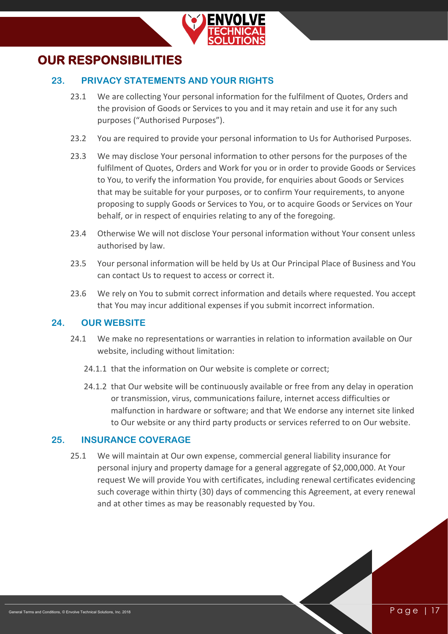

## <span id="page-17-1"></span><span id="page-17-0"></span>**OUR RESPONSIBILITIES**

#### **23. PRIVACY STATEMENTS AND YOUR RIGHTS**

- 23.1 We are collecting Your personal information for the fulfilment of Quotes, Orders and the provision of Goods or Services to you and it may retain and use it for any such purposes ("Authorised Purposes").
- 23.2 You are required to provide your personal information to Us for Authorised Purposes.
- 23.3 We may disclose Your personal information to other persons for the purposes of the fulfilment of Quotes, Orders and Work for you or in order to provide Goods or Services to You, to verify the information You provide, for enquiries about Goods or Services that may be suitable for your purposes, or to confirm Your requirements, to anyone proposing to supply Goods or Services to You, or to acquire Goods or Services on Your behalf, or in respect of enquiries relating to any of the foregoing.
- 23.4 Otherwise We will not disclose Your personal information without Your consent unless authorised by law.
- 23.5 Your personal information will be held by Us at Our Principal Place of Business and You can contact Us to request to access or correct it.
- 23.6 We rely on You to submit correct information and details where requested. You accept that You may incur additional expenses if you submit incorrect information.

#### <span id="page-17-2"></span>**24. OUR WEBSITE**

- 24.1 We make no representations or warranties in relation to information available on Our website, including without limitation:
	- 24.1.1 that the information on Our website is complete or correct;
	- 24.1.2 that Our website will be continuously available or free from any delay in operation or transmission, virus, communications failure, internet access difficulties or malfunction in hardware or software; and that We endorse any internet site linked to Our website or any third party products or services referred to on Our website.

#### <span id="page-17-3"></span>**25. INSURANCE COVERAGE**

25.1 We will maintain at Our own expense, commercial general liability insurance for personal injury and property damage for a general aggregate of \$2,000,000. At Your request We will provide You with certificates, including renewal certificates evidencing such coverage within thirty (30) days of commencing this Agreement, at every renewal and at other times as may be reasonably requested by You.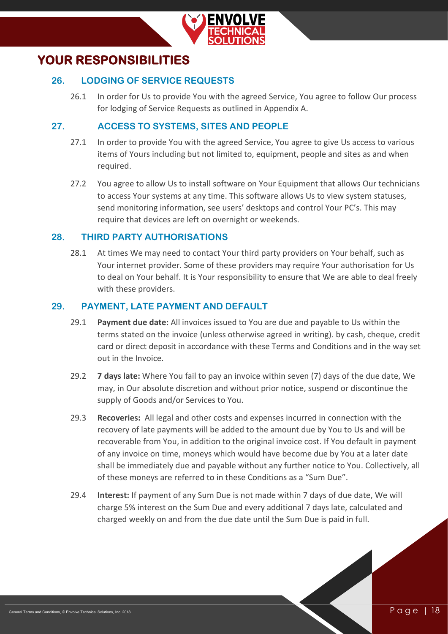

## <span id="page-18-1"></span><span id="page-18-0"></span>**YOUR RESPONSIBILITIES**

#### **26. LODGING OF SERVICE REQUESTS**

26.1 In order for Us to provide You with the agreed Service, You agree to follow Our process for lodging of Service Requests as outlined in Appendix A.

#### **27. ACCESS TO SYSTEMS, SITES AND PEOPLE**

- <span id="page-18-2"></span>27.1 In order to provide You with the agreed Service, You agree to give Us access to various items of Yours including but not limited to, equipment, people and sites as and when required.
- 27.2 You agree to allow Us to install software on Your Equipment that allows Our technicians to access Your systems at any time. This software allows Us to view system statuses, send monitoring information, see users' desktops and control Your PC's. This may require that devices are left on overnight or weekends.

#### <span id="page-18-3"></span>**28. THIRD PARTY AUTHORISATIONS**

28.1 At times We may need to contact Your third party providers on Your behalf, such as Your internet provider. Some of these providers may require Your authorisation for Us to deal on Your behalf. It is Your responsibility to ensure that We are able to deal freely with these providers.

#### <span id="page-18-4"></span>**29. PAYMENT, LATE PAYMENT AND DEFAULT**

- 29.1 **Payment due date:** All invoices issued to You are due and payable to Us within the terms stated on the invoice (unless otherwise agreed in writing). by cash, cheque, credit card or direct deposit in accordance with these Terms and Conditions and in the way set out in the Invoice.
- 29.2 **7 days late:** Where You fail to pay an invoice within seven (7) days of the due date, We may, in Our absolute discretion and without prior notice, suspend or discontinue the supply of Goods and/or Services to You.
- 29.3 **Recoveries:** All legal and other costs and expenses incurred in connection with the recovery of late payments will be added to the amount due by You to Us and will be recoverable from You, in addition to the original invoice cost. If You default in payment of any invoice on time, moneys which would have become due by You at a later date shall be immediately due and payable without any further notice to You. Collectively, all of these moneys are referred to in these Conditions as a "Sum Due".
- 29.4 **Interest:** If payment of any Sum Due is not made within 7 days of due date, We will charge 5% interest on the Sum Due and every additional 7 days late, calculated and charged weekly on and from the due date until the Sum Due is paid in full.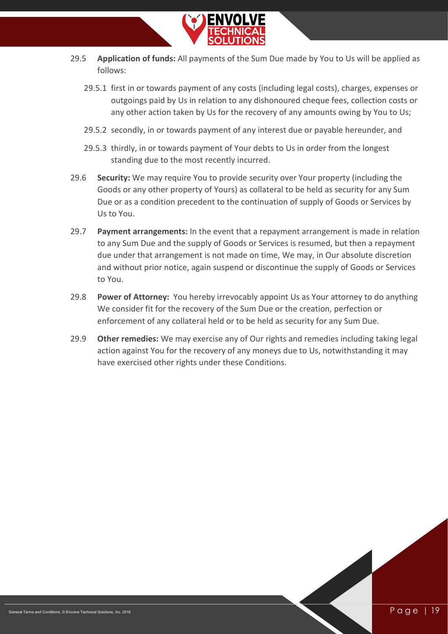

- 29.5 **Application of funds:** All payments of the Sum Due made by You to Us will be applied as follows:
	- 29.5.1 first in or towards payment of any costs (including legal costs), charges, expenses or outgoings paid by Us in relation to any dishonoured cheque fees, collection costs or any other action taken by Us for the recovery of any amounts owing by You to Us;
	- 29.5.2 secondly, in or towards payment of any interest due or payable hereunder, and
	- 29.5.3 thirdly, in or towards payment of Your debts to Us in order from the longest standing due to the most recently incurred.
- 29.6 **Security:** We may require You to provide security over Your property (including the Goods or any other property of Yours) as collateral to be held as security for any Sum Due or as a condition precedent to the continuation of supply of Goods or Services by Us to You.
- 29.7 **Payment arrangements:** In the event that a repayment arrangement is made in relation to any Sum Due and the supply of Goods or Services is resumed, but then a repayment due under that arrangement is not made on time, We may, in Our absolute discretion and without prior notice, again suspend or discontinue the supply of Goods or Services to You.
- 29.8 **Power of Attorney:** You hereby irrevocably appoint Us as Your attorney to do anything We consider fit for the recovery of the Sum Due or the creation, perfection or enforcement of any collateral held or to be held as security for any Sum Due.
- 29.9 **Other remedies:** We may exercise any of Our rights and remedies including taking legal action against You for the recovery of any moneys due to Us, notwithstanding it may have exercised other rights under these Conditions.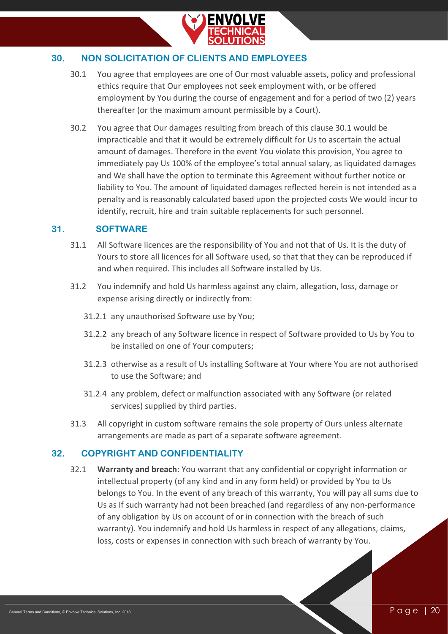

#### <span id="page-20-0"></span>**30. NON SOLICITATION OF CLIENTS AND EMPLOYEES**

- 30.1 You agree that employees are one of Our most valuable assets, policy and professional ethics require that Our employees not seek employment with, or be offered employment by You during the course of engagement and for a period of two (2) years thereafter (or the maximum amount permissible by a Court).
- 30.2 You agree that Our damages resulting from breach of this clause 30.1 would be impracticable and that it would be extremely difficult for Us to ascertain the actual amount of damages. Therefore in the event You violate this provision, You agree to immediately pay Us 100% of the employee's total annual salary, as liquidated damages and We shall have the option to terminate this Agreement without further notice or liability to You. The amount of liquidated damages reflected herein is not intended as a penalty and is reasonably calculated based upon the projected costs We would incur to identify, recruit, hire and train suitable replacements for such personnel.

#### **31. SOFTWARE**

- <span id="page-20-1"></span>31.1 All Software licences are the responsibility of You and not that of Us. It is the duty of Yours to store all licences for all Software used, so that that they can be reproduced if and when required. This includes all Software installed by Us.
- 31.2 You indemnify and hold Us harmless against any claim, allegation, loss, damage or expense arising directly or indirectly from:
	- 31.2.1 any unauthorised Software use by You;
	- 31.2.2 any breach of any Software licence in respect of Software provided to Us by You to be installed on one of Your computers;
	- 31.2.3 otherwise as a result of Us installing Software at Your where You are not authorised to use the Software; and
	- 31.2.4 any problem, defect or malfunction associated with any Software (or related services) supplied by third parties.
- 31.3 All copyright in custom software remains the sole property of Ours unless alternate arrangements are made as part of a separate software agreement.

#### <span id="page-20-2"></span>**32. COPYRIGHT AND CONFIDENTIALITY**

32.1 **Warranty and breach:** You warrant that any confidential or copyright information or intellectual property (of any kind and in any form held) or provided by You to Us belongs to You. In the event of any breach of this warranty, You will pay all sums due to Us as If such warranty had not been breached (and regardless of any non-performance of any obligation by Us on account of or in connection with the breach of such warranty). You indemnify and hold Us harmless in respect of any allegations, claims, loss, costs or expenses in connection with such breach of warranty by You.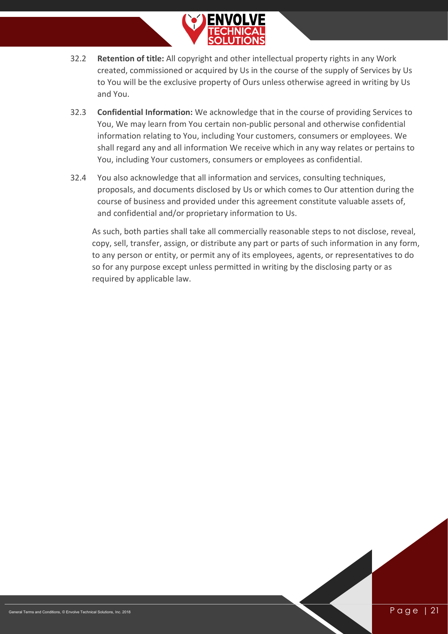

- 32.2 **Retention of title:** All copyright and other intellectual property rights in any Work created, commissioned or acquired by Us in the course of the supply of Services by Us to You will be the exclusive property of Ours unless otherwise agreed in writing by Us and You.
- 32.3 **Confidential Information:** We acknowledge that in the course of providing Services to You, We may learn from You certain non-public personal and otherwise confidential information relating to You, including Your customers, consumers or employees. We shall regard any and all information We receive which in any way relates or pertains to You, including Your customers, consumers or employees as confidential.
- 32.4 You also acknowledge that all information and services, consulting techniques, proposals, and documents disclosed by Us or which comes to Our attention during the course of business and provided under this agreement constitute valuable assets of, and confidential and/or proprietary information to Us.

As such, both parties shall take all commercially reasonable steps to not disclose, reveal, copy, sell, transfer, assign, or distribute any part or parts of such information in any form, to any person or entity, or permit any of its employees, agents, or representatives to do so for any purpose except unless permitted in writing by the disclosing party or as required by applicable law.